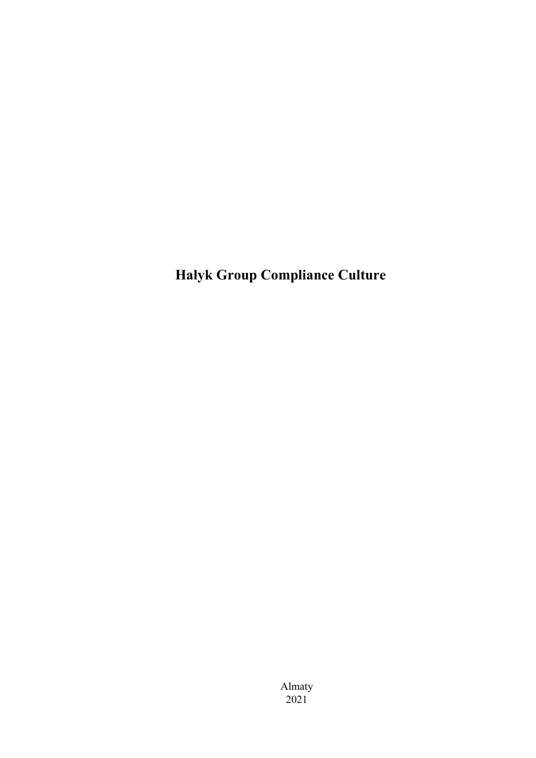Halyk Group Compliance Culture

Almaty 2021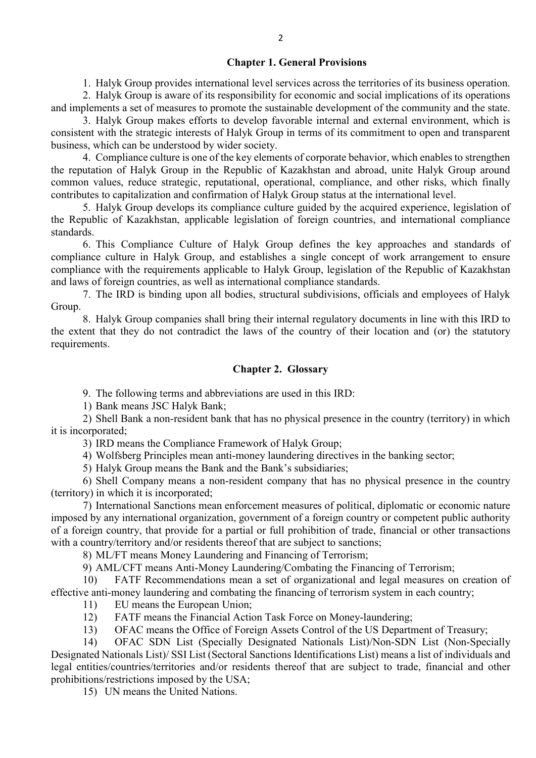#### Chapter 1. General Provisions

1. Halyk Group provides international level services across the territories of its business operation.

2. Halyk Group is aware of its responsibility for economic and social implications of its operations and implements a set of measures to promote the sustainable development of the community and the state.

3. Halyk Group makes efforts to develop favorable internal and external environment, which is consistent with the strategic interests of Halyk Group in terms of its commitment to open and transparent business, which can be understood by wider society.

4. Compliance culture is one of the key elements of corporate behavior, which enables to strengthen the reputation of Halyk Group in the Republic of Kazakhstan and abroad, unite Halyk Group around common values, reduce strategic, reputational, operational, compliance, and other risks, which finally contributes to capitalization and confirmation of Halyk Group status at the international level.

5. Halyk Group develops its compliance culture guided by the acquired experience, legislation of the Republic of Kazakhstan, applicable legislation of foreign countries, and international compliance standards.

6. This Compliance Culture of Halyk Group defines the key approaches and standards of compliance culture in Halyk Group, and establishes a single concept of work arrangement to ensure compliance with the requirements applicable to Halyk Group, legislation of the Republic of Kazakhstan and laws of foreign countries, as well as international compliance standards.

7. The IRD is binding upon all bodies, structural subdivisions, officials and employees of Halyk Group.

8. Halyk Group companies shall bring their internal regulatory documents in line with this IRD to the extent that they do not contradict the laws of the country of their location and (or) the statutory requirements.

# Chapter 2. Glossary

9. The following terms and abbreviations are used in this IRD:

1) Bank means JSC Halyk Bank;

2) Shell Bank a non-resident bank that has no physical presence in the country (territory) in which it is incorporated;

3) IRD means the Compliance Framework of Halyk Group;

4) Wolfsberg Principles mean anti-money laundering directives in the banking sector;

5) Halyk Group means the Bank and the Bank's subsidiaries;

6) Shell Company means a non-resident company that has no physical presence in the country (territory) in which it is incorporated;

7) International Sanctions mean enforcement measures of political, diplomatic or economic nature imposed by any international organization, government of a foreign country or competent public authority of a foreign country, that provide for a partial or full prohibition of trade, financial or other transactions with a country/territory and/or residents thereof that are subject to sanctions;

8) ML/FT means Money Laundering and Financing of Terrorism;

9) AML/CFT means Anti-Money Laundering/Combating the Financing of Terrorism;

10) FATF Recommendations mean a set of organizational and legal measures on creation of effective anti-money laundering and combating the financing of terrorism system in each country;

11) EU means the European Union;

- 12) FATF means the Financial Action Task Force on Money-laundering;
- 13) OFAC means the Office of Foreign Assets Control of the US Department of Treasury;

14) OFAC SDN List (Specially Designated Nationals List)/Non-SDN List (Non-Specially Designated Nationals List)/ SSI List (Sectoral Sanctions Identifications List) means a list of individuals and legal entities/countries/territories and/or residents thereof that are subject to trade, financial and other prohibitions/restrictions imposed by the USA;

15) UN means the United Nations.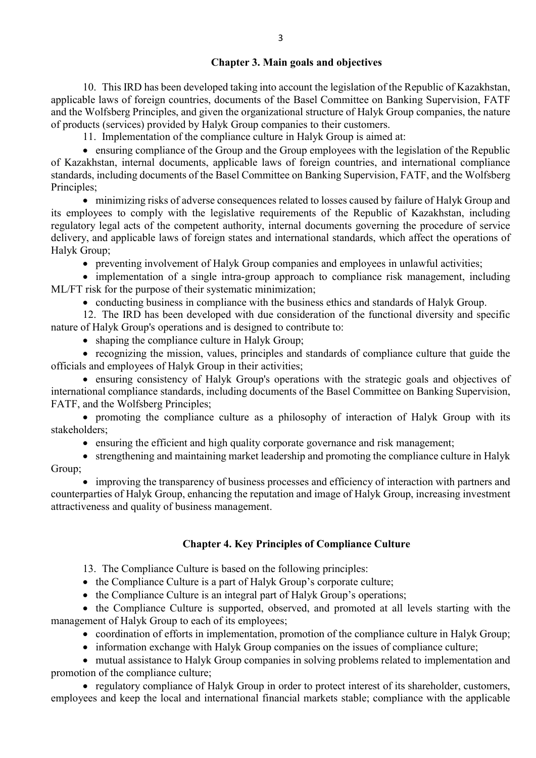## Chapter 3. Main goals and objectives

10. This IRD has been developed taking into account the legislation of the Republic of Kazakhstan, applicable laws of foreign countries, documents of the Basel Committee on Banking Supervision, FATF and the Wolfsberg Principles, and given the organizational structure of Halyk Group companies, the nature of products (services) provided by Halyk Group companies to their customers.

11. Implementation of the compliance culture in Halyk Group is aimed at:

 ensuring compliance of the Group and the Group employees with the legislation of the Republic of Kazakhstan, internal documents, applicable laws of foreign countries, and international compliance standards, including documents of the Basel Committee on Banking Supervision, FATF, and the Wolfsberg Principles;

 minimizing risks of adverse consequences related to losses caused by failure of Halyk Group and its employees to comply with the legislative requirements of the Republic of Kazakhstan, including regulatory legal acts of the competent authority, internal documents governing the procedure of service delivery, and applicable laws of foreign states and international standards, which affect the operations of Halyk Group;

preventing involvement of Halyk Group companies and employees in unlawful activities;

• implementation of a single intra-group approach to compliance risk management, including ML/FT risk for the purpose of their systematic minimization;

• conducting business in compliance with the business ethics and standards of Halyk Group.

12. The IRD has been developed with due consideration of the functional diversity and specific nature of Halyk Group's operations and is designed to contribute to:

• shaping the compliance culture in Halyk Group;

 recognizing the mission, values, principles and standards of compliance culture that guide the officials and employees of Halyk Group in their activities;

 ensuring consistency of Halyk Group's operations with the strategic goals and objectives of international compliance standards, including documents of the Basel Committee on Banking Supervision, FATF, and the Wolfsberg Principles;

 promoting the compliance culture as a philosophy of interaction of Halyk Group with its stakeholders;

ensuring the efficient and high quality corporate governance and risk management;

 strengthening and maintaining market leadership and promoting the compliance culture in Halyk Group;

• improving the transparency of business processes and efficiency of interaction with partners and counterparties of Halyk Group, enhancing the reputation and image of Halyk Group, increasing investment attractiveness and quality of business management.

# Chapter 4. Key Principles of Compliance Culture

13. The Compliance Culture is based on the following principles:

• the Compliance Culture is a part of Halyk Group's corporate culture;

• the Compliance Culture is an integral part of Halyk Group's operations;

• the Compliance Culture is supported, observed, and promoted at all levels starting with the management of Halyk Group to each of its employees;

- coordination of efforts in implementation, promotion of the compliance culture in Halyk Group;
- information exchange with Halyk Group companies on the issues of compliance culture;

 mutual assistance to Halyk Group companies in solving problems related to implementation and promotion of the compliance culture;

• regulatory compliance of Halyk Group in order to protect interest of its shareholder, customers, employees and keep the local and international financial markets stable; compliance with the applicable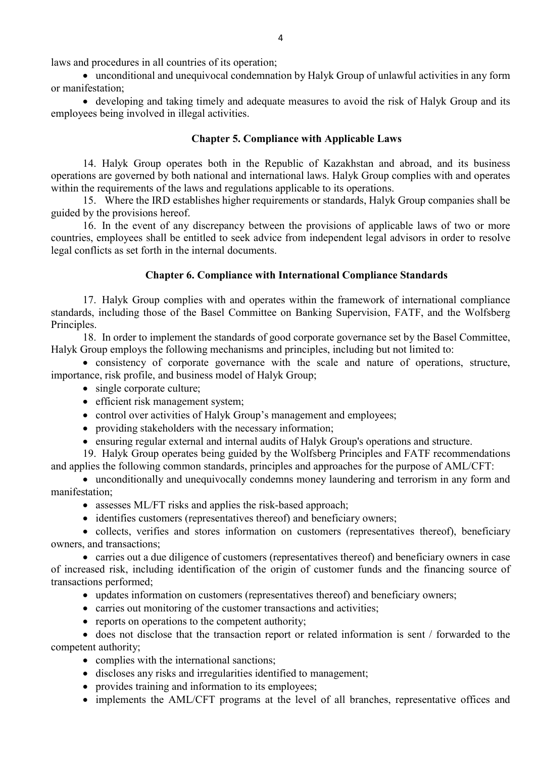laws and procedures in all countries of its operation;

 unconditional and unequivocal condemnation by Halyk Group of unlawful activities in any form or manifestation;

• developing and taking timely and adequate measures to avoid the risk of Halyk Group and its employees being involved in illegal activities.

# Chapter 5. Compliance with Applicable Laws

14. Halyk Group operates both in the Republic of Kazakhstan and abroad, and its business operations are governed by both national and international laws. Halyk Group complies with and operates within the requirements of the laws and regulations applicable to its operations.

15. Where the IRD establishes higher requirements or standards, Halyk Group companies shall be guided by the provisions hereof.

16. In the event of any discrepancy between the provisions of applicable laws of two or more countries, employees shall be entitled to seek advice from independent legal advisors in order to resolve legal conflicts as set forth in the internal documents.

## Chapter 6. Compliance with International Compliance Standards

17. Halyk Group complies with and operates within the framework of international compliance standards, including those of the Basel Committee on Banking Supervision, FATF, and the Wolfsberg Principles.

18. In order to implement the standards of good corporate governance set by the Basel Committee, Halyk Group employs the following mechanisms and principles, including but not limited to:

 consistency of corporate governance with the scale and nature of operations, structure, importance, risk profile, and business model of Halyk Group;

- single corporate culture;
- efficient risk management system;
- control over activities of Halyk Group's management and employees;
- providing stakeholders with the necessary information;
- ensuring regular external and internal audits of Halyk Group's operations and structure.

19. Halyk Group operates being guided by the Wolfsberg Principles and FATF recommendations and applies the following common standards, principles and approaches for the purpose of AML/CFT:

 unconditionally and unequivocally condemns money laundering and terrorism in any form and manifestation;

- assesses ML/FT risks and applies the risk-based approach;
- identifies customers (representatives thereof) and beneficiary owners;

• collects, verifies and stores information on customers (representatives thereof), beneficiary owners, and transactions;

 carries out a due diligence of customers (representatives thereof) and beneficiary owners in case of increased risk, including identification of the origin of customer funds and the financing source of transactions performed;

- updates information on customers (representatives thereof) and beneficiary owners;
- carries out monitoring of the customer transactions and activities;
- reports on operations to the competent authority;

 does not disclose that the transaction report or related information is sent / forwarded to the competent authority;

- complies with the international sanctions;
- discloses any risks and irregularities identified to management;
- provides training and information to its employees;
- implements the AML/CFT programs at the level of all branches, representative offices and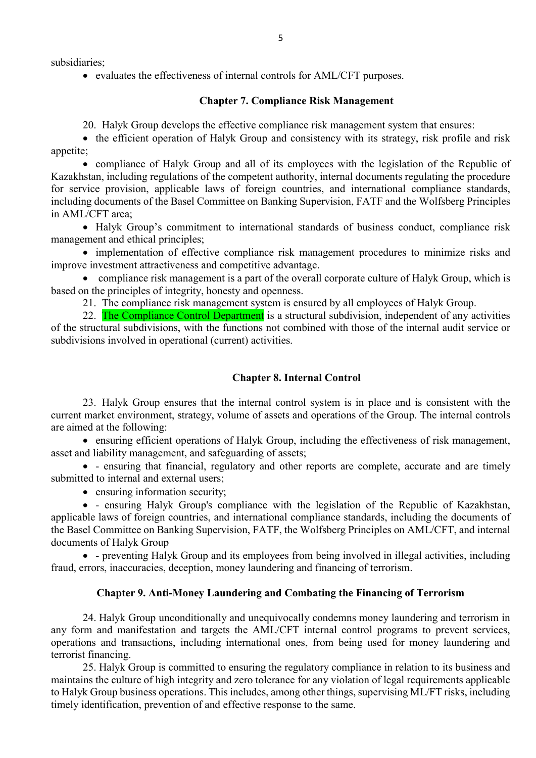subsidiaries;

evaluates the effectiveness of internal controls for AML/CFT purposes.

### Chapter 7. Compliance Risk Management

20. Halyk Group develops the effective compliance risk management system that ensures:

• the efficient operation of Halyk Group and consistency with its strategy, risk profile and risk appetite;

 compliance of Halyk Group and all of its employees with the legislation of the Republic of Kazakhstan, including regulations of the competent authority, internal documents regulating the procedure for service provision, applicable laws of foreign countries, and international compliance standards, including documents of the Basel Committee on Banking Supervision, FATF and the Wolfsberg Principles in AML/CFT area;

 Halyk Group's commitment to international standards of business conduct, compliance risk management and ethical principles;

• implementation of effective compliance risk management procedures to minimize risks and improve investment attractiveness and competitive advantage.

• compliance risk management is a part of the overall corporate culture of Halyk Group, which is based on the principles of integrity, honesty and openness.

21. The compliance risk management system is ensured by all employees of Halyk Group.

22. The Compliance Control Department is a structural subdivision, independent of any activities of the structural subdivisions, with the functions not combined with those of the internal audit service or subdivisions involved in operational (current) activities.

### Chapter 8. Internal Control

23. Halyk Group ensures that the internal control system is in place and is consistent with the current market environment, strategy, volume of assets and operations of the Group. The internal controls are aimed at the following:

 ensuring efficient operations of Halyk Group, including the effectiveness of risk management, asset and liability management, and safeguarding of assets;

 - ensuring that financial, regulatory and other reports are complete, accurate and are timely submitted to internal and external users;

• ensuring information security;

 - ensuring Halyk Group's compliance with the legislation of the Republic of Kazakhstan, applicable laws of foreign countries, and international compliance standards, including the documents of the Basel Committee on Banking Supervision, FATF, the Wolfsberg Principles on AML/CFT, and internal documents of Halyk Group

 - preventing Halyk Group and its employees from being involved in illegal activities, including fraud, errors, inaccuracies, deception, money laundering and financing of terrorism.

### Chapter 9. Anti-Money Laundering and Combating the Financing of Terrorism

24. Halyk Group unconditionally and unequivocally condemns money laundering and terrorism in any form and manifestation and targets the AML/CFT internal control programs to prevent services, operations and transactions, including international ones, from being used for money laundering and terrorist financing.

25. Halyk Group is committed to ensuring the regulatory compliance in relation to its business and maintains the culture of high integrity and zero tolerance for any violation of legal requirements applicable to Halyk Group business operations. This includes, among other things, supervising ML/FT risks, including timely identification, prevention of and effective response to the same.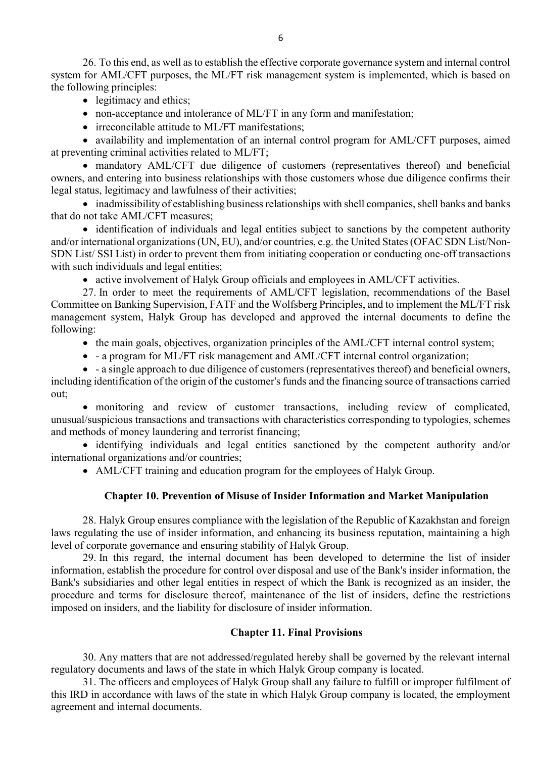26. To this end, as well as to establish the effective corporate governance system and internal control system for AML/CFT purposes, the ML/FT risk management system is implemented, which is based on the following principles:

- legitimacy and ethics;
- non-acceptance and intolerance of ML/FT in any form and manifestation;
- irreconcilable attitude to ML/FT manifestations:

• availability and implementation of an internal control program for AML/CFT purposes, aimed at preventing criminal activities related to ML/FT;

 mandatory AML/CFT due diligence of customers (representatives thereof) and beneficial owners, and entering into business relationships with those customers whose due diligence confirms their legal status, legitimacy and lawfulness of their activities;

• inadmissibility of establishing business relationships with shell companies, shell banks and banks that do not take AML/CFT measures;

• identification of individuals and legal entities subject to sanctions by the competent authority and/or international organizations (UN, EU), and/or countries, e.g. the United States (OFAC SDN List/Non-SDN List/ SSI List) in order to prevent them from initiating cooperation or conducting one-off transactions with such individuals and legal entities;

active involvement of Halyk Group officials and employees in AML/CFT activities.

27. In order to meet the requirements of AML/CFT legislation, recommendations of the Basel Committee on Banking Supervision, FATF and the Wolfsberg Principles, and to implement the ML/FT risk management system, Halyk Group has developed and approved the internal documents to define the following:

- the main goals, objectives, organization principles of the AML/CFT internal control system;
- a program for ML/FT risk management and AML/CFT internal control organization;

 - a single approach to due diligence of customers (representatives thereof) and beneficial owners, including identification of the origin of the customer's funds and the financing source of transactions carried out;

 monitoring and review of customer transactions, including review of complicated, unusual/suspicious transactions and transactions with characteristics corresponding to typologies, schemes and methods of money laundering and terrorist financing;

 identifying individuals and legal entities sanctioned by the competent authority and/or international organizations and/or countries;

AML/CFT training and education program for the employees of Halyk Group.

#### Chapter 10. Prevention of Misuse of Insider Information and Market Manipulation

28. Halyk Group ensures compliance with the legislation of the Republic of Kazakhstan and foreign laws regulating the use of insider information, and enhancing its business reputation, maintaining a high level of corporate governance and ensuring stability of Halyk Group.

29. In this regard, the internal document has been developed to determine the list of insider information, establish the procedure for control over disposal and use of the Bank's insider information, the Bank's subsidiaries and other legal entities in respect of which the Bank is recognized as an insider, the procedure and terms for disclosure thereof, maintenance of the list of insiders, define the restrictions imposed on insiders, and the liability for disclosure of insider information.

## Chapter 11. Final Provisions

30. Any matters that are not addressed/regulated hereby shall be governed by the relevant internal regulatory documents and laws of the state in which Halyk Group company is located.

31. The officers and employees of Halyk Group shall any failure to fulfill or improper fulfilment of this IRD in accordance with laws of the state in which Halyk Group company is located, the employment agreement and internal documents.